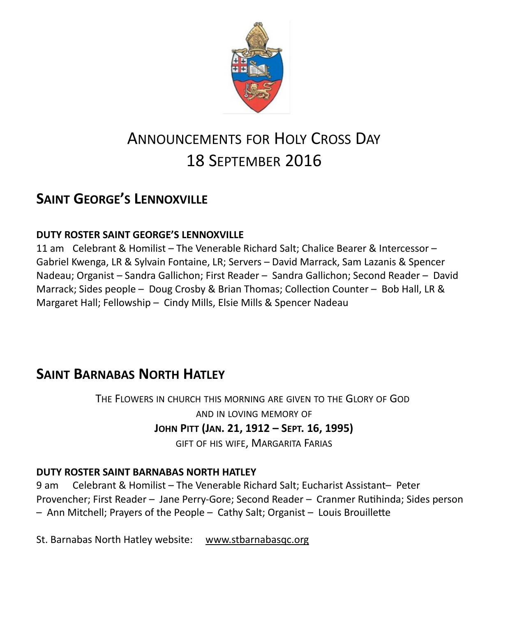

# ANNOUNCEMENTS FOR HOLY CROSS DAY 18 SEPTEMBER 2016

## **SAINT GEORGE'S LENNOXVILLE**

### **DUTY ROSTER SAINT GEORGE'S LENNOXVILLE**

11 am Celebrant & Homilist – The Venerable Richard Salt; Chalice Bearer & Intercessor – Gabriel Kwenga, LR & Sylvain Fontaine, LR; Servers – David Marrack, Sam Lazanis & Spencer Nadeau; Organist – Sandra Gallichon; First Reader – Sandra Gallichon; Second Reader – David Marrack; Sides people – Doug Crosby & Brian Thomas; Collection Counter – Bob Hall, LR & Margaret Hall; Fellowship – Cindy Mills, Elsie Mills & Spencer Nadeau

## **SAINT BARNABAS NORTH HATLEY**

THE FLOWERS IN CHURCH THIS MORNING ARE GIVEN TO THE GLORY OF GOD AND IN LOVING MEMORY OF **JOHN PITT (JAN. 21, 1912 – SEPT. 16, 1995)** GIFT OF HIS WIFE, MARGARITA FARIAS

### **DUTY ROSTER SAINT BARNABAS NORTH HATLEY**

9 am Celebrant & Homilist – The Venerable Richard Salt; Eucharist Assistant– Peter Provencher; First Reader – Jane Perry-Gore; Second Reader – Cranmer Rutihinda; Sides person – Ann Mitchell; Prayers of the People – Cathy Salt; Organist – Louis Brouillette

St. Barnabas North Hatley website: [www.stbarnabasqc.org](https://webmail.ubishops.ca/owa/redir.aspx?REF=0vV84iQWktbgou41-Q7x-hpuWc0un25Lg32_cT3pE_mXa77B8czTCAFodHRwOi8vd3d3LnN0YmFybmFiYXNxYy5vcmc.)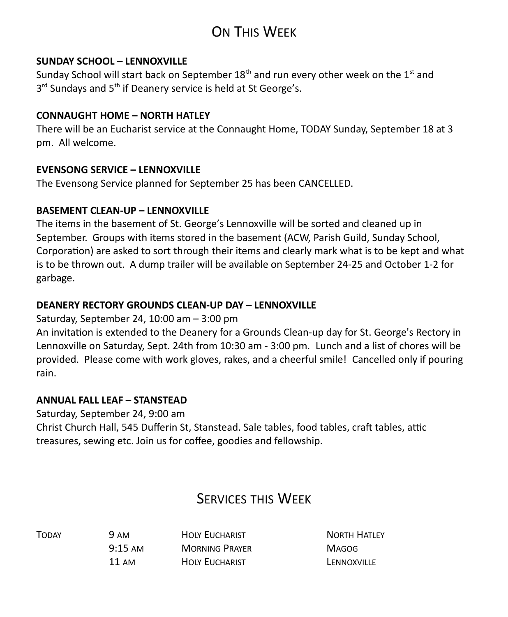# ON THIS WEEK

#### **SUNDAY SCHOOL – LENNOXVILLE**

Sunday School will start back on September  $18<sup>th</sup>$  and run every other week on the  $1<sup>st</sup>$  and 3<sup>rd</sup> Sundays and 5<sup>th</sup> if Deanery service is held at St George's.

#### **CONNAUGHT HOME – NORTH HATLEY**

There will be an Eucharist service at the Connaught Home, TODAY Sunday, September 18 at 3 pm. All welcome.

#### **EVENSONG SERVICE – LENNOXVILLE**

The Evensong Service planned for September 25 has been CANCELLED.

#### **BASEMENT CLEAN-UP – LENNOXVILLE**

The items in the basement of St. George's Lennoxville will be sorted and cleaned up in September. Groups with items stored in the basement (ACW, Parish Guild, Sunday School, Corporation) are asked to sort through their items and clearly mark what is to be kept and what is to be thrown out. A dump trailer will be available on September 24-25 and October 1-2 for garbage.

#### **DEANERY RECTORY GROUNDS CLEAN-UP DAY – LENNOXVILLE**

Saturday, September 24, 10:00 am – 3:00 pm

An invitation is extended to the Deanery for a Grounds Clean-up day for St. George's Rectory in Lennoxville on Saturday, Sept. 24th from 10:30 am - 3:00 pm. Lunch and a list of chores will be provided. Please come with work gloves, rakes, and a cheerful smile! Cancelled only if pouring rain.

#### **ANNUAL FALL LEAF – STANSTEAD**

Saturday, September 24, 9:00 am Christ Church Hall, 545 Dufferin St, Stanstead. Sale tables, food tables, craft tables, attic treasures, sewing etc. Join us for coffee, goodies and fellowship.

## SERVICES THIS WEEK

TODAY 9 AM HOLY EUCHARIST NORTH HATLEY 9:15 AM MORNING PRAYER MAGOG 11 AM HOLY FUCHARIST LENNOXVILLE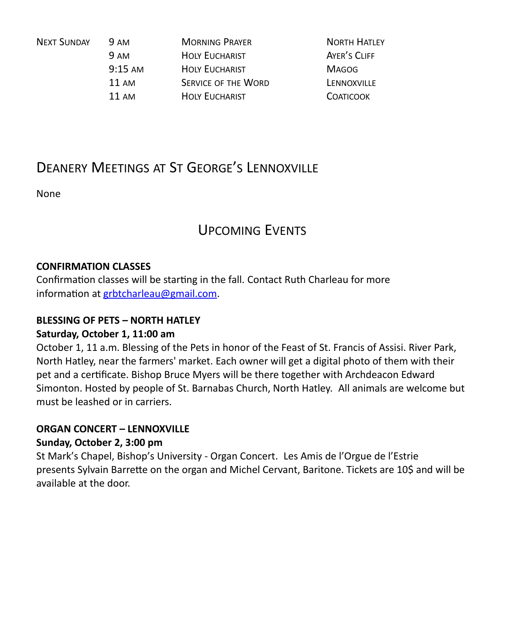| <b>NEXT SUNDAY</b> | <b>9 AM</b>       | <b>MORNING PRAYER</b>      | <b>NORTH HATLEY</b> |
|--------------------|-------------------|----------------------------|---------------------|
|                    | <b>9 AM</b>       | <b>HOLY EUCHARIST</b>      | AYER'S CLIFF        |
|                    | $9:15 \text{ AM}$ | <b>HOLY EUCHARIST</b>      | <b>MAGOG</b>        |
|                    | 11 AM             | <b>SERVICE OF THE WORD</b> | LENNOXVILLE         |
|                    | 11 AM             | <b>HOLY EUCHARIST</b>      | <b>COATICOOK</b>    |
|                    |                   |                            |                     |

### DEANERY MEETINGS AT ST GEORGE'S LENNOXVILLE

None

### UPCOMING EVENTS

#### **CONFIRMATION CLASSES**

Confirmation classes will be starting in the fall. Contact Ruth Charleau for more information at [grbtcharleau@gmail.com.](https://webmail.ubishops.ca/owa/redir.aspx?REF=V5MJHovZBjjP3Ptk3X-4OxSSdV1kElixy7K59Z33ACt8WhhY49fTCAFodHRwczovL3dlYm1haWwudWJpc2hvcHMuY2Evb3dhL3JlZGlyLmFzcHg_UkVGPV9EcDZIUXg1T0JXVnpfMTA4Zk5yRGNSblhSemtTaWRIcVFmUnEwbXVzZnFBTVFFTUQ4WFRDQUZ0WVdsc2RHODZaM0ppZEdOb1lYSnNaV0YxUUdkdFlXbHNMbU52YlEuLg..)

#### **BLESSING OF PETS – NORTH HATLEY**

#### **Saturday, October 1, 11:00 am**

October 1, 11 a.m. Blessing of the Pets in honor of the Feast of St. Francis of Assisi. River Park, North Hatley, near the farmers' market. Each owner will get a digital photo of them with their pet and a certificate. Bishop Bruce Myers will be there together with Archdeacon Edward Simonton. Hosted by people of St. Barnabas Church, North Hatley. All animals are welcome but must be leashed or in carriers.

#### **ORGAN CONCERT – LENNOXVILLE**

#### **Sunday, October 2, 3:00 pm**

St Mark's Chapel, Bishop's University - Organ Concert. Les Amis de l'Orgue de l'Estrie presents Sylvain Barrette on the organ and Michel Cervant, Baritone. Tickets are 10\$ and will be available at the door.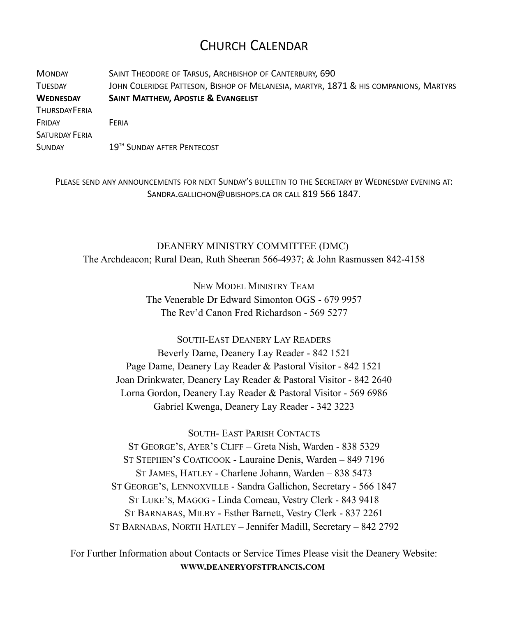### CHURCH CALENDAR

MONDAY SAINT THEODORE OF TARSUS, ARCHBISHOP OF CANTERBURY, 690 TUESDAY JOHN COLERIDGE PATTESON, BISHOP OF MELANESIA, MARTYR, 1871 & HIS COMPANIONS, MARTYRS **WEDNESDAY SAINT MATTHEW, APOSTLE & EVANGELIST THURSDAYFFRIA** FRIDAY FERIA SATURDAY FERIA SUNDAY 19<sup>TH</sup> SUNDAY AFTER PENTECOST

PLEASE SEND ANY ANNOUNCEMENTS FOR NEXT SUNDAY'S BULLETIN TO THE SECRETARY BY WEDNESDAY EVENING AT: SANDRA.GALLICHON@UBISHOPS.CA OR CALL 819 566 1847.

DEANERY MINISTRY COMMITTEE (DMC) The Archdeacon; Rural Dean, Ruth Sheeran 566-4937; & John Rasmussen 842-4158

> NEW MODEL MINISTRY TEAM The Venerable Dr Edward Simonton OGS - 679 9957 The Rev'd Canon Fred Richardson - 569 5277

SOUTH-EAST DEANERY LAY READERS Beverly Dame, Deanery Lay Reader - 842 1521 Page Dame, Deanery Lay Reader & Pastoral Visitor - 842 1521 Joan Drinkwater, Deanery Lay Reader & Pastoral Visitor - 842 2640 Lorna Gordon, Deanery Lay Reader & Pastoral Visitor - 569 6986 Gabriel Kwenga, Deanery Lay Reader - 342 3223

SOUTH- EAST PARISH CONTACTS

ST GEORGE'S, AYER'S CLIFF – Greta Nish, Warden - 838 5329 ST STEPHEN'S COATICOOK - Lauraine Denis, Warden – 849 7196 ST JAMES, HATLEY - Charlene Johann, Warden – 838 5473 ST GEORGE'S, LENNOXVILLE - Sandra Gallichon, Secretary - 566 1847 ST LUKE'S, MAGOG - Linda Comeau, Vestry Clerk - 843 9418 ST BARNABAS, MILBY - Esther Barnett, Vestry Clerk - 837 2261 ST BARNABAS, NORTH HATLEY – Jennifer Madill, Secretary – 842 2792

For Further Information about Contacts or Service Times Please visit the Deanery Website: **WWW.DEANERYOFSTFRANCIS.COM**